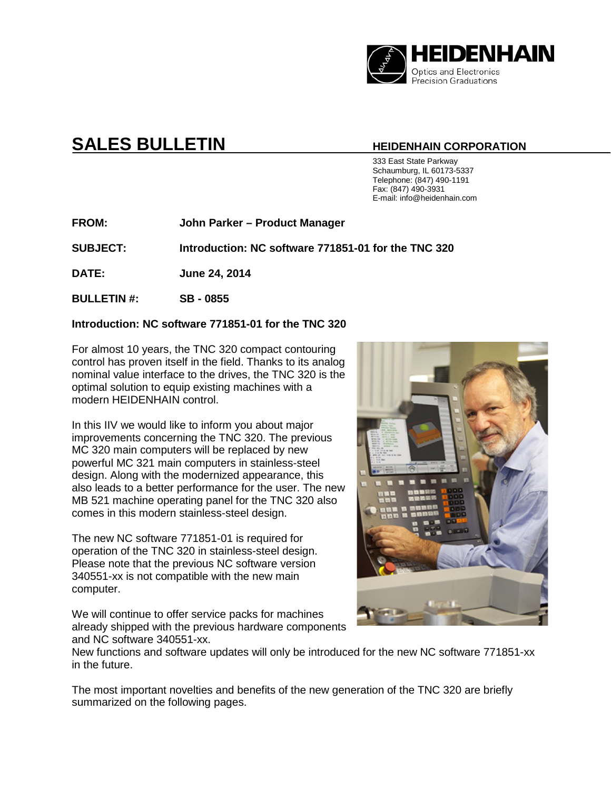

# **SALES BULLETIN HEIDENHAIN CORPORATION**

 333 East State Parkway Schaumburg, IL 60173-5337 Telephone: (847) 490-1191 Fax: (847) 490-3931 E-mail: info@heidenhain.com

**FROM: John Parker – Product Manager**

**SUBJECT: Introduction: NC software 771851-01 for the TNC 320**

**DATE: June 24, 2014**

**BULLETIN #: SB - 0855**

# **Introduction: NC software 771851-01 for the TNC 320**

For almost 10 years, the TNC 320 compact contouring control has proven itself in the field. Thanks to its analog nominal value interface to the drives, the TNC 320 is the optimal solution to equip existing machines with a modern HEIDENHAIN control.

In this IIV we would like to inform you about major improvements concerning the TNC 320. The previous MC 320 main computers will be replaced by new powerful MC 321 main computers in stainless-steel design. Along with the modernized appearance, this also leads to a better performance for the user. The new MB 521 machine operating panel for the TNC 320 also comes in this modern stainless-steel design.

The new NC software 771851-01 is required for operation of the TNC 320 in stainless-steel design. Please note that the previous NC software version 340551-xx is not compatible with the new main computer.

We will continue to offer service packs for machines already shipped with the previous hardware components and NC software 340551-xx.



New functions and software updates will only be introduced for the new NC software 771851-xx in the future.

The most important novelties and benefits of the new generation of the TNC 320 are briefly summarized on the following pages.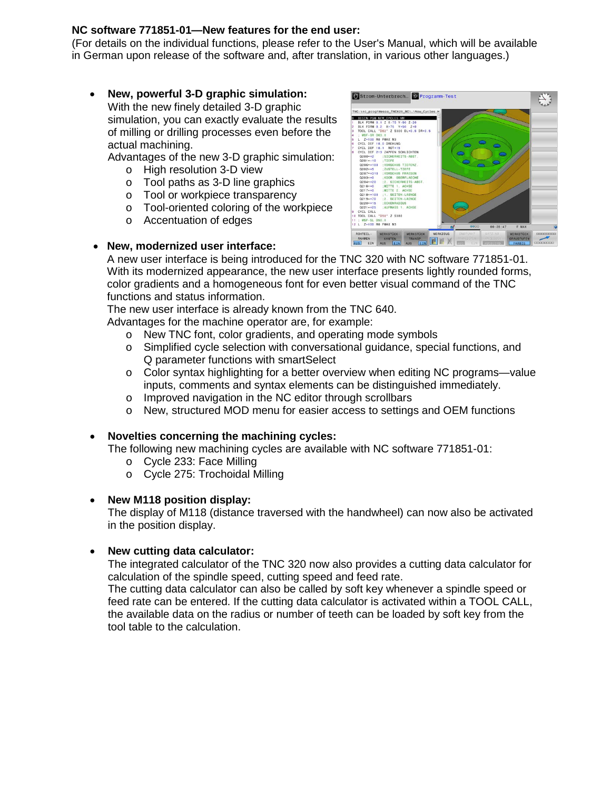# **NC software 771851-01—New features for the end user:**

(For details on the individual functions, please refer to the User's Manual, which will be available in German upon release of the software and, after translation, in various other languages.)

• **New, powerful 3-D graphic simulation:** With the new finely detailed 3-D graphic simulation, you can exactly evaluate the results of milling or drilling processes even before the actual machining.

Advantages of the new 3-D graphic simulation:

- o High resolution 3-D view
- o Tool paths as 3-D line graphics
- o Tool or workpiece transparency
- o Tool-oriented coloring of the workpiece
- o Accentuation of edges



# • **New, modernized user interface:**

A new user interface is being introduced for the TNC 320 with NC software 771851-01. With its modernized appearance, the new user interface presents lightly rounded forms, color gradients and a homogeneous font for even better visual command of the TNC functions and status information.

The new user interface is already known from the TNC 640.

Advantages for the machine operator are, for example:

- o New TNC font, color gradients, and operating mode symbols
- o Simplified cycle selection with conversational guidance, special functions, and Q parameter functions with smartSelect
- $\circ$  Color syntax highlighting for a better overview when editing NC programs—value inputs, comments and syntax elements can be distinguished immediately.
- o Improved navigation in the NC editor through scrollbars
- o New, structured MOD menu for easier access to settings and OEM functions

# • **Novelties concerning the machining cycles:**

The following new machining cycles are available with NC software 771851-01:

- o Cycle 233: Face Milling
- o Cycle 275: Trochoidal Milling
- **New M118 position display:**

The display of M118 (distance traversed with the handwheel) can now also be activated in the position display.

# • **New cutting data calculator:**

The integrated calculator of the TNC 320 now also provides a cutting data calculator for calculation of the spindle speed, cutting speed and feed rate.

The cutting data calculator can also be called by soft key whenever a spindle speed or feed rate can be entered. If the cutting data calculator is activated within a TOOL CALL, the available data on the radius or number of teeth can be loaded by soft key from the tool table to the calculation.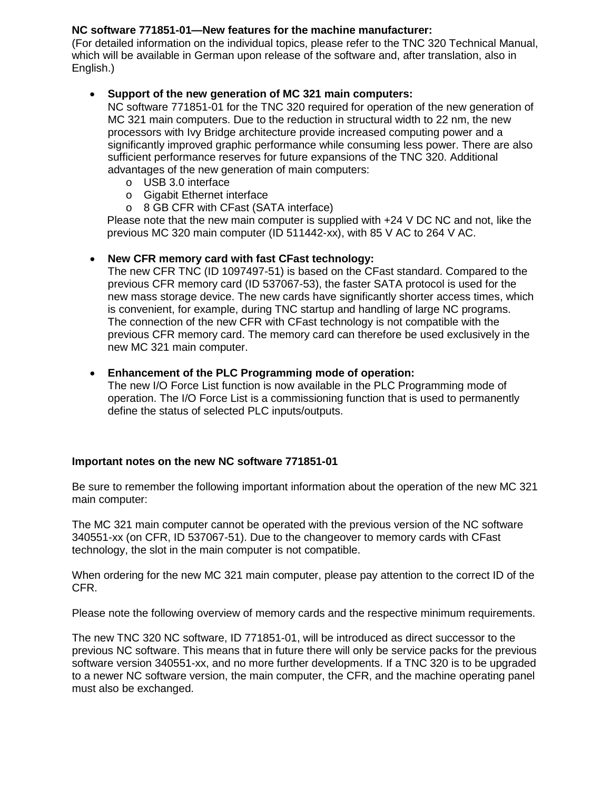# **NC software 771851-01—New features for the machine manufacturer:**

(For detailed information on the individual topics, please refer to the TNC 320 Technical Manual, which will be available in German upon release of the software and, after translation, also in English.)

# • **Support of the new generation of MC 321 main computers:**

NC software 771851-01 for the TNC 320 required for operation of the new generation of MC 321 main computers. Due to the reduction in structural width to 22 nm, the new processors with Ivy Bridge architecture provide increased computing power and a significantly improved graphic performance while consuming less power. There are also sufficient performance reserves for future expansions of the TNC 320. Additional advantages of the new generation of main computers:

- o USB 3.0 interface
- o Gigabit Ethernet interface
- o 8 GB CFR with CFast (SATA interface)

Please note that the new main computer is supplied with +24 V DC NC and not, like the previous MC 320 main computer (ID 511442-xx), with 85 V AC to 264 V AC.

# • **New CFR memory card with fast CFast technology:**

The new CFR TNC (ID 1097497-51) is based on the CFast standard. Compared to the previous CFR memory card (ID 537067-53), the faster SATA protocol is used for the new mass storage device. The new cards have significantly shorter access times, which is convenient, for example, during TNC startup and handling of large NC programs. The connection of the new CFR with CFast technology is not compatible with the previous CFR memory card. The memory card can therefore be used exclusively in the new MC 321 main computer.

### • **Enhancement of the PLC Programming mode of operation:**

The new I/O Force List function is now available in the PLC Programming mode of operation. The I/O Force List is a commissioning function that is used to permanently define the status of selected PLC inputs/outputs.

# **Important notes on the new NC software 771851-01**

Be sure to remember the following important information about the operation of the new MC 321 main computer:

The MC 321 main computer cannot be operated with the previous version of the NC software 340551-xx (on CFR, ID 537067-51). Due to the changeover to memory cards with CFast technology, the slot in the main computer is not compatible.

When ordering for the new MC 321 main computer, please pay attention to the correct ID of the CFR.

Please note the following overview of memory cards and the respective minimum requirements.

The new TNC 320 NC software, ID 771851-01, will be introduced as direct successor to the previous NC software. This means that in future there will only be service packs for the previous software version 340551-xx, and no more further developments. If a TNC 320 is to be upgraded to a newer NC software version, the main computer, the CFR, and the machine operating panel must also be exchanged.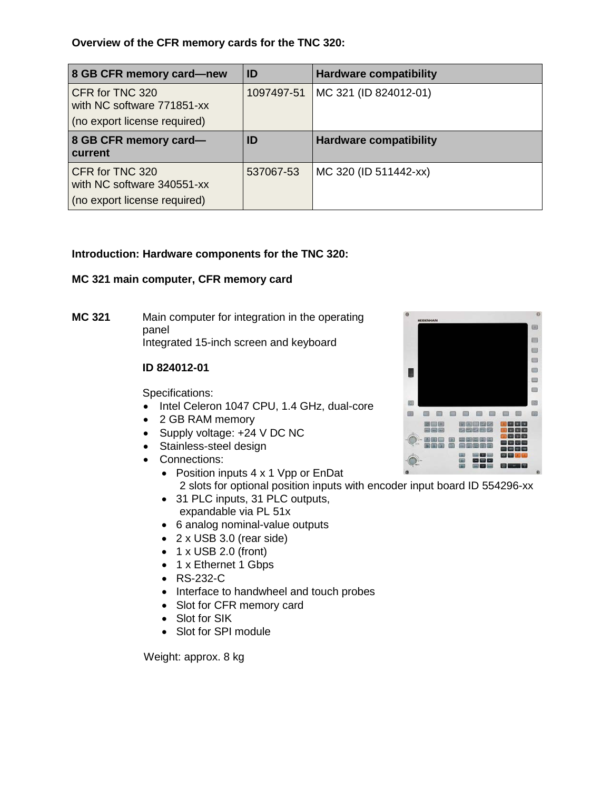# **Overview of the CFR memory cards for the TNC 320:**

| 8 GB CFR memory card-new                                                      | ID         | <b>Hardware compatibility</b> |
|-------------------------------------------------------------------------------|------------|-------------------------------|
| CFR for TNC 320<br>with NC software 771851-xx<br>(no export license required) | 1097497-51 | MC 321 (ID 824012-01)         |
| 8 GB CFR memory card-<br>current                                              | ID         | <b>Hardware compatibility</b> |
| CFR for TNC 320<br>with NC software 340551-xx<br>(no export license required) | 537067-53  | MC 320 (ID 511442-xx)         |

# **Introduction: Hardware components for the TNC 320:**

# **MC 321 main computer, CFR memory card**

**MC 321** Main computer for integration in the operating panel Integrated 15-inch screen and keyboard

# **ID 824012-01**

Specifications:

- Intel Celeron 1047 CPU, 1.4 GHz, dual-core
- 2 GB RAM memory
- Supply voltage: +24 V DC NC
- Stainless-steel design
- Connections:
	- Position inputs 4 x 1 Vpp or EnDat 2 slots for optional position inputs with encoder input board ID 554296-xx
	- 31 PLC inputs, 31 PLC outputs, expandable via PL 51x
	- 6 analog nominal-value outputs
	- 2 x USB 3.0 (rear side)
	- $\bullet$  1 x USB 2.0 (front)
	- 1 x Ethernet 1 Gbps
	- RS-232-C
	- Interface to handwheel and touch probes
	- Slot for CFR memory card
	- Slot for SIK
	- Slot for SPI module

Weight: approx. 8 kg

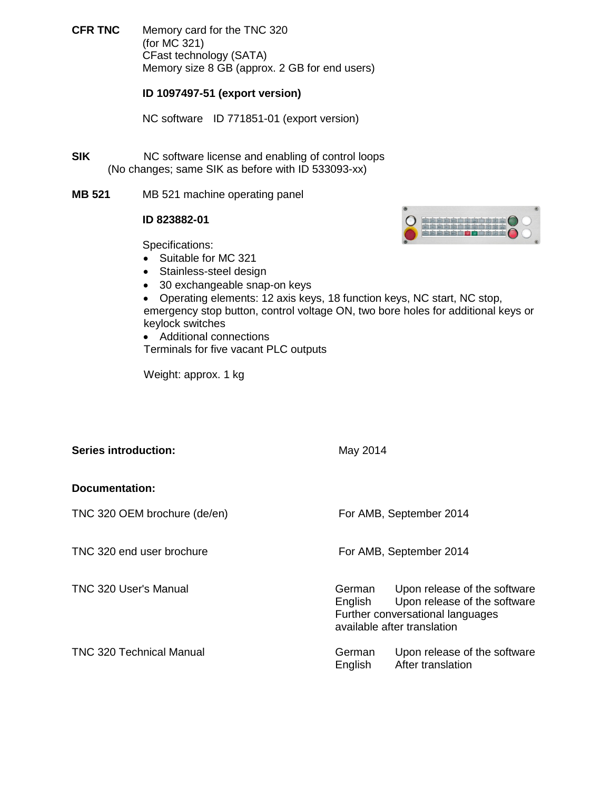**CFR TNC** Memory card for the TNC 320 (for MC 321) CFast technology (SATA) Memory size 8 GB (approx. 2 GB for end users)

# **ID 1097497-51 (export version)**

NC software ID 771851-01 (export version)

- **SIK** NC software license and enabling of control loops (No changes; same SIK as before with ID 533093-xx)
- **MB 521** MB 521 machine operating panel

# **ID 823882-01**

Specifications:

- Suitable for MC 321
- Stainless-steel design
- 30 exchangeable snap-on keys
- Operating elements: 12 axis keys, 18 function keys, NC start, NC stop, emergency stop button, control voltage ON, two bore holes for additional keys or keylock switches
- Additional connections Terminals for five vacant PLC outputs

Weight: approx. 1 kg

| Series introduction:            | May 2014                |                                                                                                                                 |  |  |  |
|---------------------------------|-------------------------|---------------------------------------------------------------------------------------------------------------------------------|--|--|--|
| Documentation:                  |                         |                                                                                                                                 |  |  |  |
| TNC 320 OEM brochure (de/en)    | For AMB, September 2014 |                                                                                                                                 |  |  |  |
| TNC 320 end user brochure       |                         | For AMB, September 2014                                                                                                         |  |  |  |
| TNC 320 User's Manual           | German<br>English       | Upon release of the software<br>Upon release of the software<br>Further conversational languages<br>available after translation |  |  |  |
| <b>TNC 320 Technical Manual</b> | German<br>English       | Upon release of the software<br>After translation                                                                               |  |  |  |

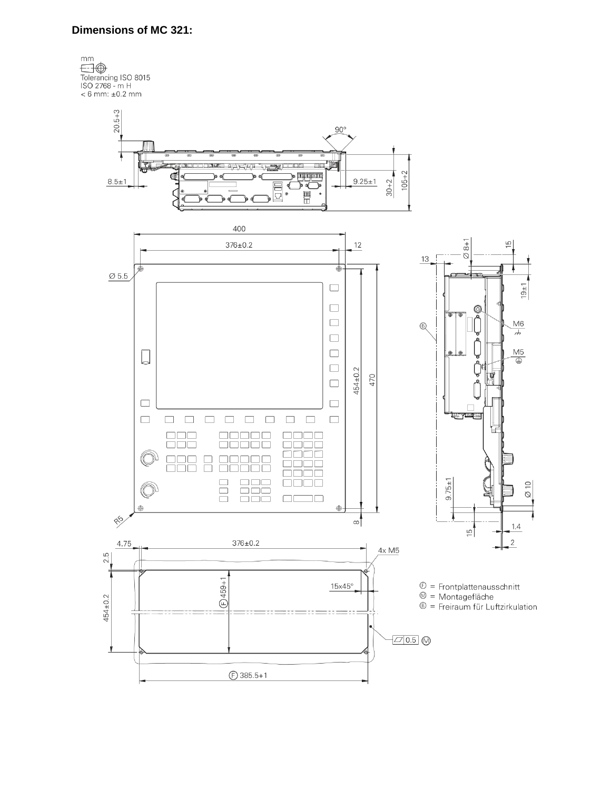### **Dimensions of MC 321:**

 $\mathsf{mm}$ Thin<br>Tolerancing ISO 8015<br>ISO 2768 - m H<br>< 6 mm: ±0.2 mm

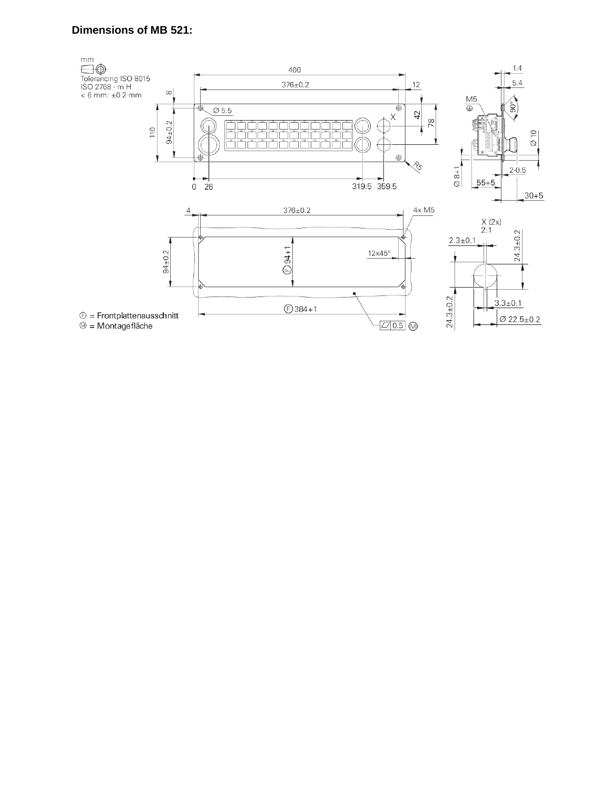# **Dimensions of MB 521:**

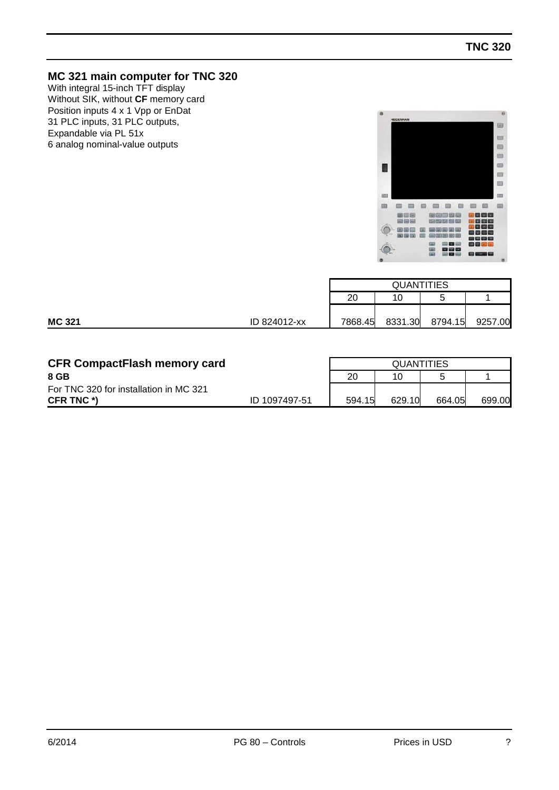# **MC 321 main computer for TNC 320**

With integral 15-inch TFT display Without SIK, without **CF** memory card Position inputs 4 x 1 Vpp or EnDat 31 PLC inputs, 31 PLC outputs, Expandable via PL 51x 6 analog nominal-value outputs



|               |              | <b>QUANTITIES</b> |         |         |         |  |  |
|---------------|--------------|-------------------|---------|---------|---------|--|--|
|               |              | 20<br>10<br>∽     |         |         |         |  |  |
|               |              |                   |         |         |         |  |  |
| <b>MC 321</b> | ID 824012-xx | 7868.45           | 8331.30 | 8794.15 | 9257.00 |  |  |

| <b>CFR CompactFlash memory card</b>    |               |        | <b>QUANTITIES</b> |        |        |  |  |  |
|----------------------------------------|---------------|--------|-------------------|--------|--------|--|--|--|
| 8 GB                                   |               | 20     | 10                |        |        |  |  |  |
| For TNC 320 for installation in MC 321 |               |        |                   |        |        |  |  |  |
| CFR TNC *)                             | ID 1097497-51 | 594.15 | 629.10            | 664.05 | 699.00 |  |  |  |